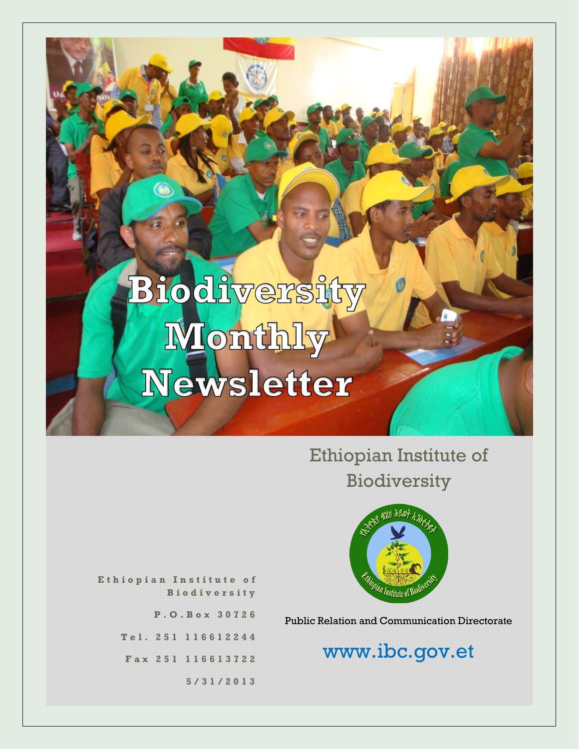Ethiopian Institute of Biodiversity



**E t h i o p i a n I n s t i t u t e o f B i o d i v e r s i t y**

**P . O . B o x 3 0 7 2 6**

**T e l . 2 5 1 1 1 6 6 1 2 2 4 4**

**F a x 2 5 1 116613722**

**5 / 3 1 / 2 0 1 3**

Public Relation and Communication Directorate

# www.ibc.gov.et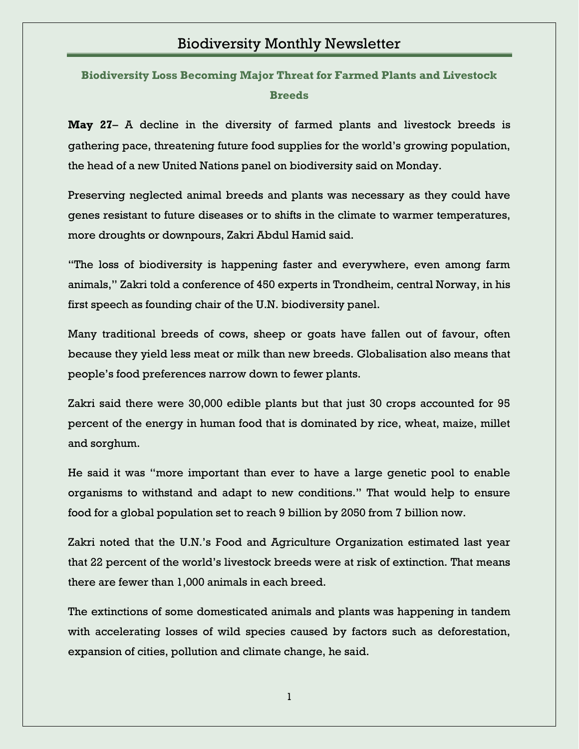**Biodiversity Loss Becoming Major Threat for Farmed Plants and Livestock Breeds**

**May 27**– A decline in the diversity of farmed plants and livestock breeds is gathering pace, threatening future food supplies for the world"s growing population, the head of a new United Nations panel on biodiversity said on Monday.

Preserving neglected animal breeds and plants was necessary as they could have genes resistant to future diseases or to shifts in the climate to warmer temperatures, more droughts or downpours, Zakri Abdul Hamid said.

"The loss of biodiversity is happening faster and everywhere, even among farm animals," Zakri told a conference of 450 experts in Trondheim, central Norway, in his first speech as founding chair of the U.N. biodiversity panel.

Many traditional breeds of cows, sheep or goats have fallen out of favour, often because they yield less meat or milk than new breeds. Globalisation also means that people"s food preferences narrow down to fewer plants.

Zakri said there were 30,000 edible plants but that just 30 crops accounted for 95 percent of the energy in human food that is dominated by rice, wheat, maize, millet and sorghum.

He said it was "more important than ever to have a large genetic pool to enable organisms to withstand and adapt to new conditions." That would help to ensure food for a global population set to reach 9 billion by 2050 from 7 billion now.

Zakri noted that the U.N."s Food and Agriculture Organization estimated last year that 22 percent of the world"s livestock breeds were at risk of extinction. That means there are fewer than 1,000 animals in each breed.

The extinctions of some domesticated animals and plants was happening in tandem with accelerating losses of wild species caused by factors such as deforestation, expansion of cities, pollution and climate change, he said.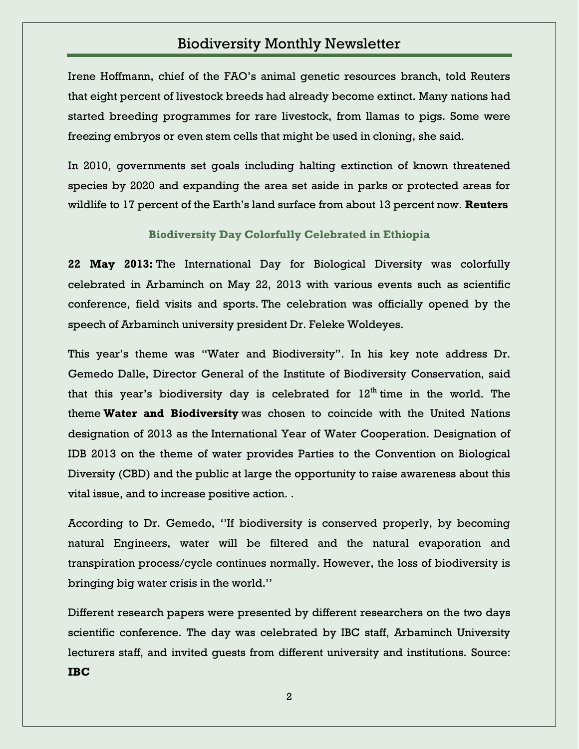Irene Hoffmann, chief of the FAO"s animal genetic resources branch, told Reuters that eight percent of livestock breeds had already become extinct. Many nations had started breeding programmes for rare livestock, from llamas to pigs. Some were freezing embryos or even stem cells that might be used in cloning, she said.

In 2010, governments set goals including halting extinction of known threatened species by 2020 and expanding the area set aside in parks or protected areas for wildlife to 17 percent of the Earth"s land surface from about 13 percent now. **Reuters**

#### **Biodiversity Day Colorfully Celebrated in Ethiopia**

**22 May 2013:** The International Day for Biological Diversity was colorfully celebrated in Arbaminch on May 22, 2013 with various events such as scientific conference, field visits and sports. The celebration was officially opened by the speech of Arbaminch university president Dr. Feleke Woldeyes.

This year's theme was "Water and Biodiversity". In his key note address Dr. Gemedo Dalle, Director General of the Institute of Biodiversity Conservation, said that this year's biodiversity day is celebrated for  $12<sup>th</sup>$  time in the world. The theme **Water and Biodiversity** was chosen to coincide with the United Nations designation of 2013 as the International Year of Water Cooperation. Designation of IDB 2013 on the theme of water provides Parties to the Convention on Biological Diversity (CBD) and the public at large the opportunity to raise awareness about this vital issue, and to increase positive action. .

According to Dr. Gemedo, ""If biodiversity is conserved properly, by becoming natural Engineers, water will be filtered and the natural evaporation and transpiration process/cycle continues normally. However, the loss of biodiversity is bringing big water crisis in the world.""

Different research papers were presented by different researchers on the two days scientific conference. The day was celebrated by IBC staff, Arbaminch University lecturers staff, and invited guests from different university and institutions. Source: **IBC**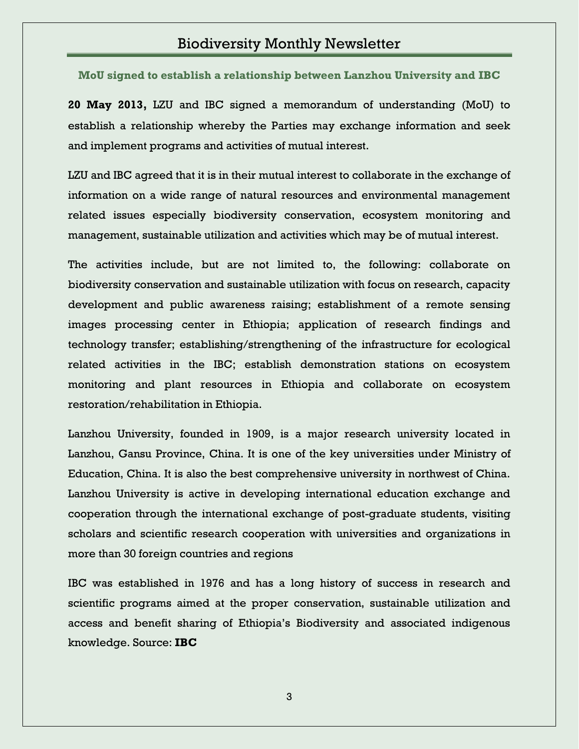**MoU signed to establish a relationship between Lanzhou University and IBC**

**20 May 2013,** LZU and IBC signed a memorandum of understanding (MoU) to establish a relationship whereby the Parties may exchange information and seek and implement programs and activities of mutual interest.

LZU and IBC agreed that it is in their mutual interest to collaborate in the exchange of information on a wide range of natural resources and environmental management related issues especially biodiversity conservation, ecosystem monitoring and management, sustainable utilization and activities which may be of mutual interest.

The activities include, but are not limited to, the following: collaborate on biodiversity conservation and sustainable utilization with focus on research, capacity development and public awareness raising; establishment of a remote sensing images processing center in Ethiopia; application of research findings and technology transfer; establishing/strengthening of the infrastructure for ecological related activities in the IBC; establish demonstration stations on ecosystem monitoring and plant resources in Ethiopia and collaborate on ecosystem restoration/rehabilitation in Ethiopia.

Lanzhou University, founded in 1909, is a major research university located in Lanzhou, Gansu Province, China. It is one of the key universities under Ministry of Education, China. It is also the best comprehensive university in northwest of China. Lanzhou University is active in developing international education exchange and cooperation through the international exchange of post-graduate students, visiting scholars and scientific research cooperation with universities and organizations in more than 30 foreign countries and regions

IBC was established in 1976 and has a long history of success in research and scientific programs aimed at the proper conservation, sustainable utilization and access and benefit sharing of Ethiopia"s Biodiversity and associated indigenous knowledge. Source: **IBC**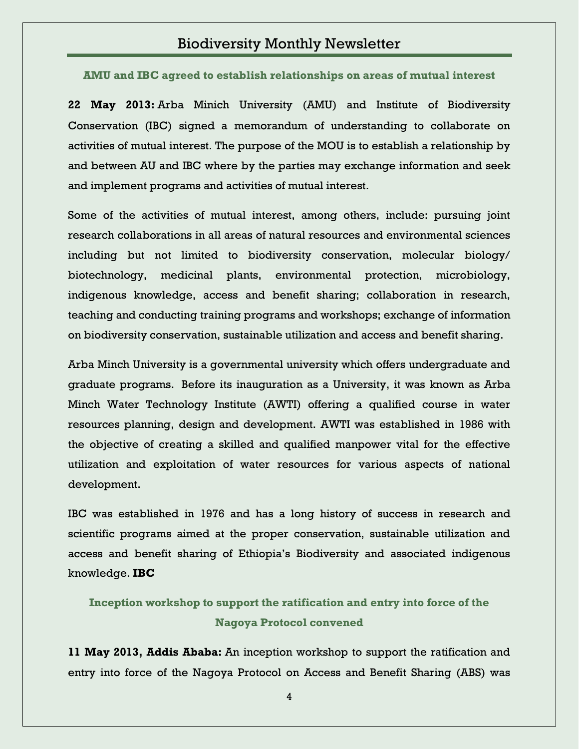**AMU and IBC agreed to establish relationships on areas of mutual interest**

**22 May 2013:** Arba Minich University (AMU) and Institute of Biodiversity Conservation (IBC) signed a memorandum of understanding to collaborate on activities of mutual interest. The purpose of the MOU is to establish a relationship by and between AU and IBC where by the parties may exchange information and seek and implement programs and activities of mutual interest.

Some of the activities of mutual interest, among others, include: pursuing joint research collaborations in all areas of natural resources and environmental sciences including but not limited to biodiversity conservation, molecular biology/ biotechnology, medicinal plants, environmental protection, microbiology, indigenous knowledge, access and benefit sharing; collaboration in research, teaching and conducting training programs and workshops; exchange of information on biodiversity conservation, sustainable utilization and access and benefit sharing.

Arba Minch University is a governmental university which offers undergraduate and graduate programs. Before its inauguration as a University, it was known as Arba Minch Water Technology Institute (AWTI) offering a qualified course in water resources planning, design and development. AWTI was established in 1986 with the objective of creating a skilled and qualified manpower vital for the effective utilization and exploitation of water resources for various aspects of national development.

IBC was established in 1976 and has a long history of success in research and scientific programs aimed at the proper conservation, sustainable utilization and access and benefit sharing of Ethiopia"s Biodiversity and associated indigenous knowledge. **IBC**

**Inception workshop to support the ratification and entry into force of the Nagoya Protocol convened**

**11 May 2013, Addis Ababa:** An inception workshop to support the ratification and entry into force of the Nagoya Protocol on Access and Benefit Sharing (ABS) was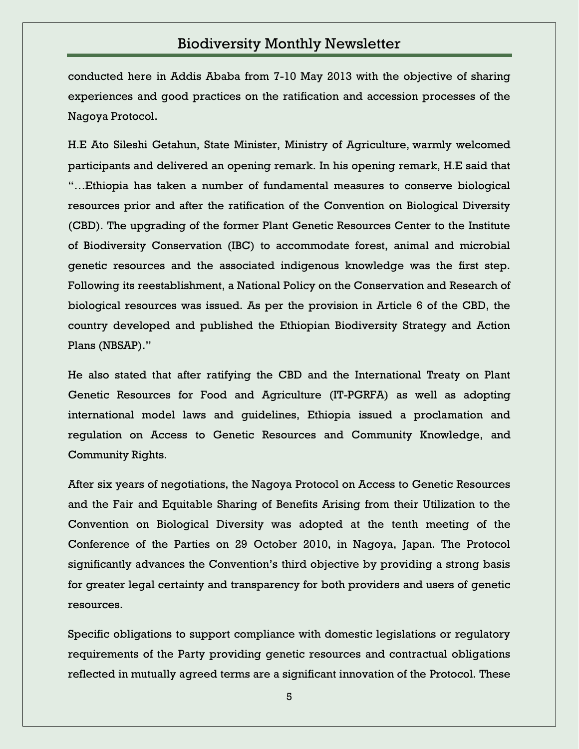conducted here in Addis Ababa from 7-10 May 2013 with the objective of sharing experiences and good practices on the ratification and accession processes of the Nagoya Protocol.

H.E Ato Sileshi Getahun, State Minister, Ministry of Agriculture, warmly welcomed participants and delivered an opening remark. In his opening remark, H.E said that "…Ethiopia has taken a number of fundamental measures to conserve biological resources prior and after the ratification of the Convention on Biological Diversity (CBD). The upgrading of the former Plant Genetic Resources Center to the Institute of Biodiversity Conservation (IBC) to accommodate forest, animal and microbial genetic resources and the associated indigenous knowledge was the first step. Following its reestablishment, a National Policy on the Conservation and Research of biological resources was issued. As per the provision in Article 6 of the CBD, the country developed and published the Ethiopian Biodiversity Strategy and Action Plans (NBSAP)."

He also stated that after ratifying the CBD and the International Treaty on Plant Genetic Resources for Food and Agriculture (IT-PGRFA) as well as adopting international model laws and guidelines, Ethiopia issued a proclamation and regulation on Access to Genetic Resources and Community Knowledge, and Community Rights.

After six years of negotiations, the Nagoya Protocol on Access to Genetic Resources and the Fair and Equitable Sharing of Benefits Arising from their Utilization to the Convention on Biological Diversity was adopted at the tenth meeting of the Conference of the Parties on 29 October 2010, in Nagoya, Japan. The Protocol significantly advances the Convention's third objective by providing a strong basis for greater legal certainty and transparency for both providers and users of genetic resources.

Specific obligations to support compliance with domestic legislations or regulatory requirements of the Party providing genetic resources and contractual obligations reflected in mutually agreed terms are a significant innovation of the Protocol. These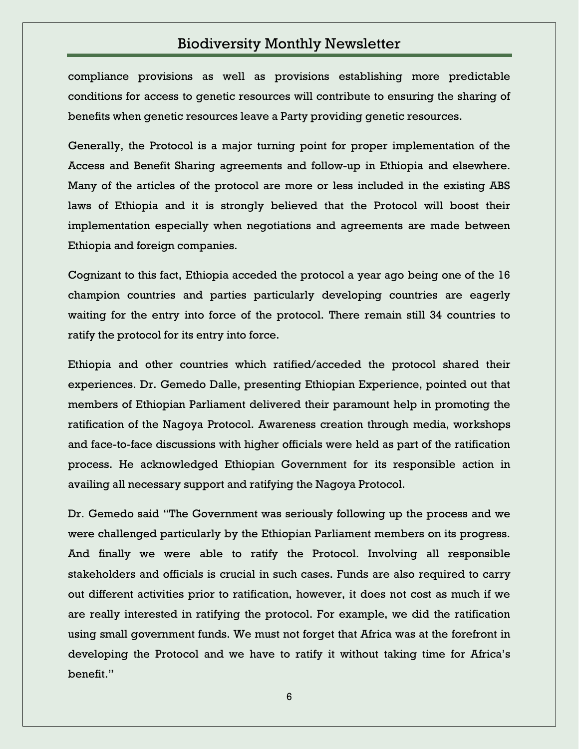compliance provisions as well as provisions establishing more predictable conditions for access to genetic resources will contribute to ensuring the sharing of benefits when genetic resources leave a Party providing genetic resources.

Generally, the Protocol is a major turning point for proper implementation of the Access and Benefit Sharing agreements and follow-up in Ethiopia and elsewhere. Many of the articles of the protocol are more or less included in the existing ABS laws of Ethiopia and it is strongly believed that the Protocol will boost their implementation especially when negotiations and agreements are made between Ethiopia and foreign companies.

Cognizant to this fact, Ethiopia acceded the protocol a year ago being one of the 16 champion countries and parties particularly developing countries are eagerly waiting for the entry into force of the protocol. There remain still 34 countries to ratify the protocol for its entry into force.

Ethiopia and other countries which ratified/acceded the protocol shared their experiences. Dr. Gemedo Dalle, presenting Ethiopian Experience, pointed out that members of Ethiopian Parliament delivered their paramount help in promoting the ratification of the Nagoya Protocol. Awareness creation through media, workshops and face-to-face discussions with higher officials were held as part of the ratification process. He acknowledged Ethiopian Government for its responsible action in availing all necessary support and ratifying the Nagoya Protocol.

Dr. Gemedo said "The Government was seriously following up the process and we were challenged particularly by the Ethiopian Parliament members on its progress. And finally we were able to ratify the Protocol. Involving all responsible stakeholders and officials is crucial in such cases. Funds are also required to carry out different activities prior to ratification, however, it does not cost as much if we are really interested in ratifying the protocol. For example, we did the ratification using small government funds. We must not forget that Africa was at the forefront in developing the Protocol and we have to ratify it without taking time for Africa"s benefit."